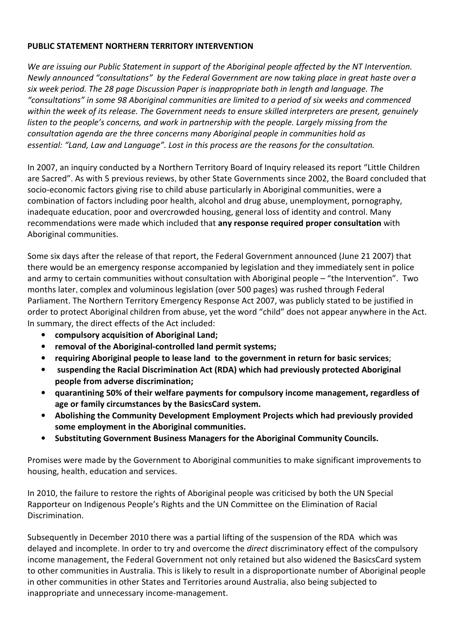## **PUBLIC STATEMENT NORTHERN TERRITORY INTERVENTION**

*We are issuing our Public Statement in support of the Aboriginal people affected by the NT Intervention. Newly announced "consultations" by the Federal Government are now taking place in great haste over a six week period. The 28 page Discussion Paper is inappropriate both in length and language. The "consultations" in some 98 Aboriginal communities are limited to a period of six weeks and commenced within the week of its release. The Government needs to ensure skilled interpreters are present, genuinely*  listen to the people's concerns, and work in partnership with the people. Largely missing from the *consultation agenda are the three concerns many Aboriginal people in communities hold as essential: "Land, Law and Language". Lost in this process are the reasons for the consultation.* 

In 2007, an inquiry conducted by a Northern Territory Board of Inquiry released its report "Little Children are Sacred". As with 5 previous reviews, by other State Governments since 2002, the Board concluded that socio-economic factors giving rise to child abuse particularly in Aboriginal communities, were a combination of factors including poor health, alcohol and drug abuse, unemployment, pornography, inadequate education, poor and overcrowded housing, general loss of identity and control. Many recommendations were made which included that **any response required proper consultation** with Aboriginal communities.

Some six days after the release of that report, the Federal Government announced (June 21 2007) that there would be an emergency response accompanied by legislation and they immediately sent in police and army to certain communities without consultation with Aboriginal people – "the Intervention". Two months later, complex and voluminous legislation (over 500 pages) was rushed through Federal Parliament. The Northern Territory Emergency Response Act 2007, was publicly stated to be justified in order to protect Aboriginal children from abuse, yet the word "child" does not appear anywhere in the Act. In summary, the direct effects of the Act included:

- **compulsory acquisition of Aboriginal Land;**
- **removal of the Aboriginal-controlled land permit systems;**
- **requiring Aboriginal people to lease land to the government in return for basic services**;
- **suspending the Racial Discrimination Act (RDA) which had previously protected Aboriginal people from adverse discrimination;**
- **quarantining 50% of their welfare payments for compulsory income management, regardless of age or family circumstances by the BasicsCard system.**
- **Abolishing the Community Development Employment Projects which had previously provided some employment in the Aboriginal communities.**
- **Substituting Government Business Managers for the Aboriginal Community Councils.**

Promises were made by the Government to Aboriginal communities to make significant improvements to housing, health, education and services.

In 2010, the failure to restore the rights of Aboriginal people was criticised by both the UN Special Rapporteur on Indigenous People's Rights and the UN Committee on the Elimination of Racial Discrimination.

Subsequently in December 2010 there was a partial lifting of the suspension of the RDA which was delayed and incomplete. In order to try and overcome the *direct* discriminatory effect of the compulsory income management, the Federal Government not only retained but also widened the BasicsCard system to other communities in Australia. This is likely to result in a disproportionate number of Aboriginal people in other communities in other States and Territories around Australia, also being subjected to inappropriate and unnecessary income-management.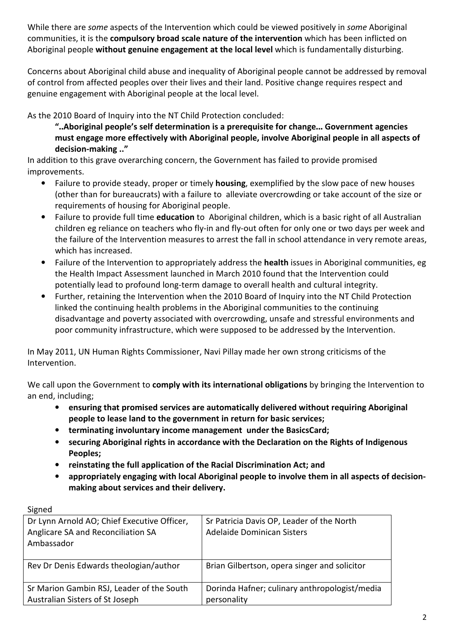While there are *some* aspects of the Intervention which could be viewed positively in *some* Aboriginal communities, it is the **compulsory broad scale nature of the intervention** which has been inflicted on Aboriginal people **without genuine engagement at the local level** which is fundamentally disturbing.

Concerns about Aboriginal child abuse and inequality of Aboriginal people cannot be addressed by removal of control from affected peoples over their lives and their land. Positive change requires respect and genuine engagement with Aboriginal people at the local level.

As the 2010 Board of Inquiry into the NT Child Protection concluded:

**"..Aboriginal people's self determination is a prerequisite for change... Government agencies must engage more effectively with Aboriginal people, involve Aboriginal people in all aspects of decision-making .."**

In addition to this grave overarching concern, the Government has failed to provide promised improvements.

- Failure to provide steady, proper or timely **housing**, exemplified by the slow pace of new houses (other than for bureaucrats) with a failure to alleviate overcrowding or take account of the size or requirements of housing for Aboriginal people.
- Failure to provide full time **education** to Aboriginal children, which is a basic right of all Australian children eg reliance on teachers who fly-in and fly-out often for only one or two days per week and the failure of the Intervention measures to arrest the fall in school attendance in very remote areas, which has increased.
- Failure of the Intervention to appropriately address the **health** issues in Aboriginal communities, eg the Health Impact Assessment launched in March 2010 found that the Intervention could potentially lead to profound long-term damage to overall health and cultural integrity.
- Further, retaining the Intervention when the 2010 Board of Inquiry into the NT Child Protection linked the continuing health problems in the Aboriginal communities to the continuing disadvantage and poverty associated with overcrowding, unsafe and stressful environments and poor community infrastructure, which were supposed to be addressed by the Intervention.

In May 2011, UN Human Rights Commissioner, Navi Pillay made her own strong criticisms of the Intervention.

We call upon the Government to **comply with its international obligations** by bringing the Intervention to an end, including;

- **ensuring that promised services are automatically delivered without requiring Aboriginal people to lease land to the government in return for basic services;**
- **terminating involuntary income management under the BasicsCard;**
- **securing Aboriginal rights in accordance with the Declaration on the Rights of Indigenous Peoples;**
- **reinstating the full application of the Racial Discrimination Act; and**
- **appropriately engaging with local Aboriginal people to involve them in all aspects of decisionmaking about services and their delivery.**

| <b>JIKIICU</b>                                                                                  |                                                                         |
|-------------------------------------------------------------------------------------------------|-------------------------------------------------------------------------|
| Dr Lynn Arnold AO; Chief Executive Officer,<br>Anglicare SA and Reconciliation SA<br>Ambassador | Sr Patricia Davis OP, Leader of the North<br>Adelaide Dominican Sisters |
| Rev Dr Denis Edwards theologian/author                                                          | Brian Gilbertson, opera singer and solicitor                            |
| Sr Marion Gambin RSJ, Leader of the South                                                       | Dorinda Hafner; culinary anthropologist/media                           |
| Australian Sisters of St Joseph                                                                 | personality                                                             |

## **Signad**